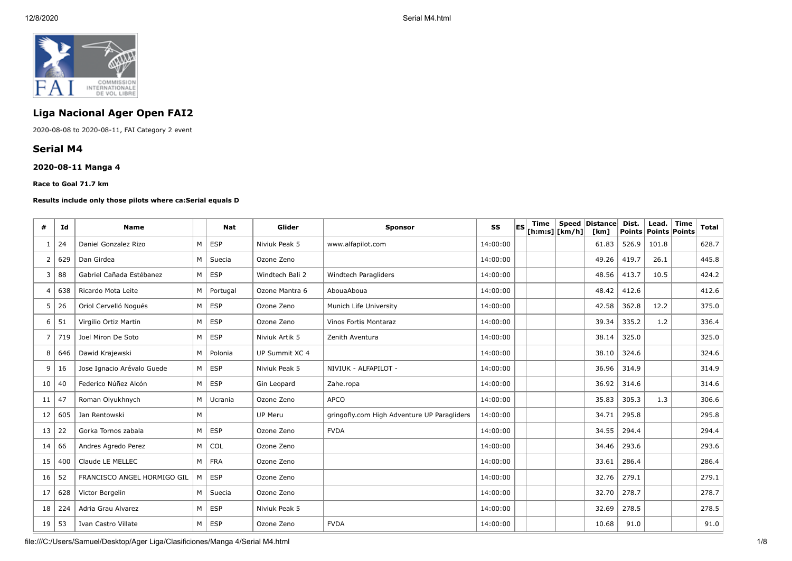

# **Liga Nacional Ager Open FAI2**

2020-08-08 to 2020-08-11, FAI Category 2 event

## **Serial M4**

### **2020-08-11 Manga 4**

**Race to Goal 71.7 km**

### **Results include only those pilots where ca:Serial equals D**

| #  | Id  | <b>Name</b>                 |   | <b>Nat</b> | Glider          | <b>Sponsor</b>                              | SS       | <b>IES</b> | Time<br>$[ h: m: s]$ [km/h] | Speed Distance<br>[km] | Dist.<br><b>Points</b> | Lead.<br>Points Points | <b>Time</b> | <b>Total</b> |
|----|-----|-----------------------------|---|------------|-----------------|---------------------------------------------|----------|------------|-----------------------------|------------------------|------------------------|------------------------|-------------|--------------|
| -1 | 24  | Daniel Gonzalez Rizo        | M | ESP        | Niviuk Peak 5   | www.alfapilot.com                           | 14:00:00 |            |                             | 61.83                  | 526.9                  | 101.8                  |             | 628.7        |
| 2  | 629 | Dan Girdea                  | M | Suecia     | Ozone Zeno      |                                             | 14:00:00 |            |                             | 49.26                  | 419.7                  | 26.1                   |             | 445.8        |
| 3  | 88  | Gabriel Cañada Estébanez    | M | ESP        | Windtech Bali 2 | Windtech Paragliders                        | 14:00:00 |            |                             | 48.56                  | 413.7                  | 10.5                   |             | 424.2        |
| 4  | 638 | Ricardo Mota Leite          | M | Portugal   | Ozone Mantra 6  | AbouaAboua                                  | 14:00:00 |            |                             | 48.42                  | 412.6                  |                        |             | 412.6        |
| 5  | 26  | Oriol Cervelló Nogués       | M | ESP        | Ozone Zeno      | Munich Life University                      | 14:00:00 |            |                             | 42.58                  | 362.8                  | 12.2                   |             | 375.0        |
| 6  | 51  | Virgilio Ortiz Martín       | M | ESP        | Ozone Zeno      | <b>Vinos Fortis Montaraz</b>                | 14:00:00 |            |                             | 39.34                  | 335.2                  | 1.2                    |             | 336.4        |
| 7  | 719 | Joel Miron De Soto          | M | <b>ESP</b> | Niviuk Artik 5  | Zenith Aventura                             | 14:00:00 |            |                             | 38.14                  | 325.0                  |                        |             | 325.0        |
| 8  | 646 | Dawid Krajewski             | M | Polonia    | UP Summit XC 4  |                                             | 14:00:00 |            |                             | 38.10                  | 324.6                  |                        |             | 324.6        |
| 9  | 16  | Jose Ignacio Arévalo Guede  | M | <b>ESP</b> | Niviuk Peak 5   | NIVIUK - ALFAPILOT -                        | 14:00:00 |            |                             | 36.96                  | 314.9                  |                        |             | 314.9        |
| 10 | 40  | Federico Núñez Alcón        | M | ESP        | Gin Leopard     | Zahe.ropa                                   | 14:00:00 |            |                             | 36.92                  | 314.6                  |                        |             | 314.6        |
| 11 | 47  | Roman Olyukhnych            | M | l Ucrania  | Ozone Zeno      | <b>APCO</b>                                 | 14:00:00 |            |                             | 35.83                  | 305.3                  | 1.3                    |             | 306.6        |
| 12 | 605 | Jan Rentowski               | M |            | <b>UP Meru</b>  | gringofly.com High Adventure UP Paragliders | 14:00:00 |            |                             | 34.71                  | 295.8                  |                        |             | 295.8        |
| 13 | 22  | Gorka Tornos zabala         | M | <b>ESP</b> | Ozone Zeno      | <b>FVDA</b>                                 | 14:00:00 |            |                             | 34.55                  | 294.4                  |                        |             | 294.4        |
| 14 | 66  | Andres Agredo Perez         | M | COL        | Ozone Zeno      |                                             | 14:00:00 |            |                             | 34.46                  | 293.6                  |                        |             | 293.6        |
| 15 | 400 | Claude LE MELLEC            |   | $M$ FRA    | Ozone Zeno      |                                             | 14:00:00 |            |                             | 33.61                  | 286.4                  |                        |             | 286.4        |
| 16 | 52  | FRANCISCO ANGEL HORMIGO GIL | M | <b>ESP</b> | Ozone Zeno      |                                             | 14:00:00 |            |                             | 32.76                  | 279.1                  |                        |             | 279.1        |
| 17 | 628 | Victor Bergelin             | M | Suecia     | Ozone Zeno      |                                             | 14:00:00 |            |                             | 32.70                  | 278.7                  |                        |             | 278.7        |
| 18 | 224 | Adria Grau Alvarez          | M | ESP        | Niviuk Peak 5   |                                             | 14:00:00 |            |                             | 32.69                  | 278.5                  |                        |             | 278.5        |
| 19 | 53  | Ivan Castro Villate         | M | ESP        | Ozone Zeno      | <b>FVDA</b>                                 | 14:00:00 |            |                             | 10.68                  | 91.0                   |                        |             | 91.0         |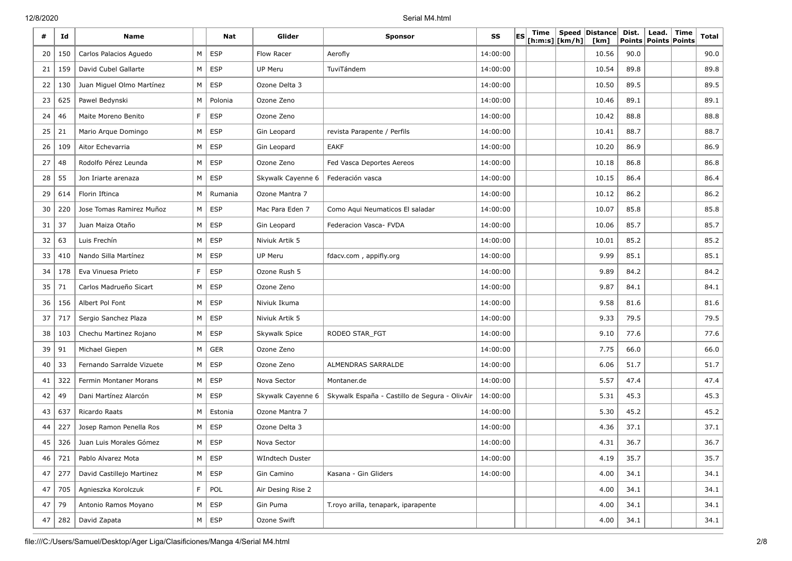12/8/2020 Serial M4.html

| #  | Id  | <b>Name</b>               |           | Nat        | Glider            | <b>Sponsor</b>                                | SS       | ES | Time | [h:m:s] [km/h] | Speed Distance<br>[km] | Dist.<br>Points | Lead.<br><b>Points Points</b> | <b>Time</b> | Total |
|----|-----|---------------------------|-----------|------------|-------------------|-----------------------------------------------|----------|----|------|----------------|------------------------|-----------------|-------------------------------|-------------|-------|
| 20 | 150 | Carlos Palacios Aguedo    | M         | ESP        | Flow Racer        | Aerofly                                       | 14:00:00 |    |      |                | 10.56                  | 90.0            |                               |             | 90.0  |
| 21 | 159 | David Cubel Gallarte      | M         | ESP        | UP Meru           | TuviTándem                                    | 14:00:00 |    |      |                | 10.54                  | 89.8            |                               |             | 89.8  |
| 22 | 130 | Juan Miguel Olmo Martínez | М         | <b>ESP</b> | Ozone Delta 3     |                                               | 14:00:00 |    |      |                | 10.50                  | 89.5            |                               |             | 89.5  |
| 23 | 625 | Pawel Bedynski            | М         | Polonia    | Ozone Zeno        |                                               | 14:00:00 |    |      |                | 10.46                  | 89.1            |                               |             | 89.1  |
| 24 | 46  | Maite Moreno Benito       | F         | <b>ESP</b> | Ozone Zeno        |                                               | 14:00:00 |    |      |                | 10.42                  | 88.8            |                               |             | 88.8  |
| 25 | 21  | Mario Arque Domingo       | М         | <b>ESP</b> | Gin Leopard       | revista Parapente / Perfils                   | 14:00:00 |    |      |                | 10.41                  | 88.7            |                               |             | 88.7  |
| 26 | 109 | Aitor Echevarria          | М         | <b>ESP</b> | Gin Leopard       | <b>EAKF</b>                                   | 14:00:00 |    |      |                | 10.20                  | 86.9            |                               |             | 86.9  |
| 27 | 48  | Rodolfo Pérez Leunda      | М         | <b>ESP</b> | Ozone Zeno        | Fed Vasca Deportes Aereos                     | 14:00:00 |    |      |                | 10.18                  | 86.8            |                               |             | 86.8  |
| 28 | 55  | Jon Iriarte arenaza       | М         | <b>ESP</b> | Skywalk Cayenne 6 | Federación vasca                              | 14:00:00 |    |      |                | 10.15                  | 86.4            |                               |             | 86.4  |
| 29 | 614 | Florin Iftinca            | M         | Rumania    | Ozone Mantra 7    |                                               | 14:00:00 |    |      |                | 10.12                  | 86.2            |                               |             | 86.2  |
| 30 | 220 | Jose Tomas Ramirez Muñoz  | М         | <b>ESP</b> | Mac Para Eden 7   | Como Aqui Neumaticos El saladar               | 14:00:00 |    |      |                | 10.07                  | 85.8            |                               |             | 85.8  |
| 31 | 37  | Juan Maiza Otaño          | М         | <b>ESP</b> | Gin Leopard       | Federacion Vasca- FVDA                        | 14:00:00 |    |      |                | 10.06                  | 85.7            |                               |             | 85.7  |
| 32 | 63  | Luis Frechín              | М         | <b>ESP</b> | Niviuk Artik 5    |                                               | 14:00:00 |    |      |                | 10.01                  | 85.2            |                               |             | 85.2  |
| 33 | 410 | Nando Silla Martínez      | М         | <b>ESP</b> | UP Meru           | fdacv.com, appifly.org                        | 14:00:00 |    |      |                | 9.99                   | 85.1            |                               |             | 85.1  |
| 34 | 178 | Eva Vinuesa Prieto        | F         | <b>ESP</b> | Ozone Rush 5      |                                               | 14:00:00 |    |      |                | 9.89                   | 84.2            |                               |             | 84.2  |
| 35 | 71  | Carlos Madrueño Sicart    | M         | <b>ESP</b> | Ozone Zeno        |                                               | 14:00:00 |    |      |                | 9.87                   | 84.1            |                               |             | 84.1  |
| 36 | 156 | Albert Pol Font           | М         | <b>ESP</b> | Niviuk Ikuma      |                                               | 14:00:00 |    |      |                | 9.58                   | 81.6            |                               |             | 81.6  |
| 37 | 717 | Sergio Sanchez Plaza      | М         | <b>ESP</b> | Niviuk Artik 5    |                                               | 14:00:00 |    |      |                | 9.33                   | 79.5            |                               |             | 79.5  |
| 38 | 103 | Chechu Martinez Rojano    | М         | <b>ESP</b> | Skywalk Spice     | RODEO STAR_FGT                                | 14:00:00 |    |      |                | 9.10                   | 77.6            |                               |             | 77.6  |
| 39 | 91  | Michael Giepen            | М         | <b>GER</b> | Ozone Zeno        |                                               | 14:00:00 |    |      |                | 7.75                   | 66.0            |                               |             | 66.0  |
| 40 | 33  | Fernando Sarralde Vizuete | М         | <b>ESP</b> | Ozone Zeno        | ALMENDRAS SARRALDE                            | 14:00:00 |    |      |                | 6.06                   | 51.7            |                               |             | 51.7  |
| 41 | 322 | Fermin Montaner Morans    | М         | <b>ESP</b> | Nova Sector       | Montaner.de                                   | 14:00:00 |    |      |                | 5.57                   | 47.4            |                               |             | 47.4  |
| 42 | 49  | Dani Martínez Alarcón     | М         | <b>ESP</b> | Skywalk Cayenne 6 | Skywalk España - Castillo de Segura - OlivAir | 14:00:00 |    |      |                | 5.31                   | 45.3            |                               |             | 45.3  |
| 43 | 637 | Ricardo Raats             | М         | Estonia    | Ozone Mantra 7    |                                               | 14:00:00 |    |      |                | 5.30                   | 45.2            |                               |             | 45.2  |
| 44 | 227 | Josep Ramon Penella Ros   | М         | <b>ESP</b> | Ozone Delta 3     |                                               | 14:00:00 |    |      |                | 4.36                   | 37.1            |                               |             | 37.1  |
| 45 | 326 | Juan Luis Morales Gómez   | М         | <b>ESP</b> | Nova Sector       |                                               | 14:00:00 |    |      |                | 4.31                   | 36.7            |                               |             | 36.7  |
| 46 | 721 | Pablo Alvarez Mota        | M         | ESP        | WIndtech Duster   |                                               | 14:00:00 |    |      |                | 4.19                   | 35.7            |                               |             | 35.7  |
| 47 | 277 | David Castillejo Martinez | ${\sf M}$ | ESP        | Gin Camino        | Kasana - Gin Gliders                          | 14:00:00 |    |      |                | 4.00                   | 34.1            |                               |             | 34.1  |
| 47 | 705 | Agnieszka Korolczuk       | F         | POL        | Air Desing Rise 2 |                                               |          |    |      |                | 4.00                   | 34.1            |                               |             | 34.1  |
| 47 | 79  | Antonio Ramos Moyano      | М         | <b>ESP</b> | Gin Puma          | T.royo arilla, tenapark, iparapente           |          |    |      |                | 4.00                   | 34.1            |                               |             | 34.1  |
| 47 | 282 | David Zapata              | $M \mid$  | <b>ESP</b> | Ozone Swift       |                                               |          |    |      |                | 4.00                   | 34.1            |                               |             | 34.1  |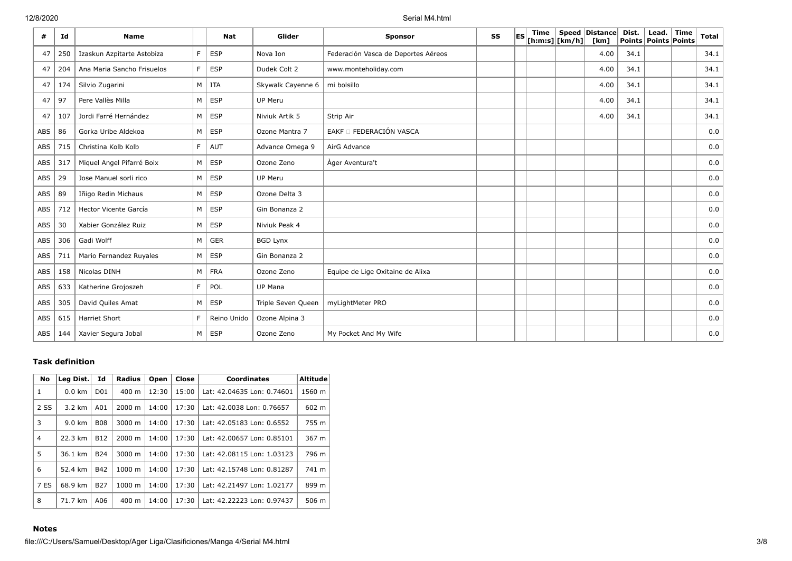12/8/2020 Serial M4.html

| #          | Id  | <b>Name</b>                |    | <b>Nat</b>  | Glider             | <b>Sponsor</b>                      | SS | les | Time<br>$ $ [h:m:s] $ $ [km/h] $ $ | Speed Distance<br>[km] | Dist. | Lead.<br>Points Points Points | Time | <b>Total</b> |
|------------|-----|----------------------------|----|-------------|--------------------|-------------------------------------|----|-----|------------------------------------|------------------------|-------|-------------------------------|------|--------------|
| 47         | 250 | Izaskun Azpitarte Astobiza | F. | <b>ESP</b>  | Nova Ion           | Federación Vasca de Deportes Aéreos |    |     |                                    | 4.00                   | 34.1  |                               |      | 34.1         |
| 47         | 204 | Ana Maria Sancho Frisuelos | F. | <b>ESP</b>  | Dudek Colt 2       | www.monteholiday.com                |    |     |                                    | 4.00                   | 34.1  |                               |      | 34.1         |
| 47         | 174 | Silvio Zugarini            | M  | <b>ITA</b>  | Skywalk Cayenne 6  | mi bolsillo                         |    |     |                                    | 4.00                   | 34.1  |                               |      | 34.1         |
| 47         | 97  | Pere Vallès Milla          | M  | <b>ESP</b>  | UP Meru            |                                     |    |     |                                    | 4.00                   | 34.1  |                               |      | 34.1         |
| 47         | 107 | Jordi Farré Hernández      | M  | <b>ESP</b>  | Niviuk Artik 5     | Strip Air                           |    |     |                                    | 4.00                   | 34.1  |                               |      | 34.1         |
| ABS        | 86  | Gorka Uribe Aldekoa        | M  | <b>ESP</b>  | Ozone Mantra 7     | EAKF O FEDERACIÓN VASCA             |    |     |                                    |                        |       |                               |      | 0.0          |
| ABS        | 715 | Christina Kolb Kolb        | F. | <b>AUT</b>  | Advance Omega 9    | AirG Advance                        |    |     |                                    |                        |       |                               |      | 0.0          |
| ABS        | 317 | Miquel Angel Pifarré Boix  | M  | <b>ESP</b>  | Ozone Zeno         | Ager Aventura't                     |    |     |                                    |                        |       |                               |      | 0.0          |
| ABS        | 29  | Jose Manuel sorli rico     | M  | <b>ESP</b>  | UP Meru            |                                     |    |     |                                    |                        |       |                               |      | 0.0          |
| ABS        | 89  | Iñigo Redin Michaus        | M  | <b>ESP</b>  | Ozone Delta 3      |                                     |    |     |                                    |                        |       |                               |      | 0.0          |
| ABS        | 712 | Hector Vicente García      | M  | <b>ESP</b>  | Gin Bonanza 2      |                                     |    |     |                                    |                        |       |                               |      | 0.0          |
| ABS        | 30  | Xabier González Ruiz       | M  | <b>ESP</b>  | Niviuk Peak 4      |                                     |    |     |                                    |                        |       |                               |      | 0.0          |
| <b>ABS</b> | 306 | Gadi Wolff                 | M  | <b>GER</b>  | <b>BGD Lynx</b>    |                                     |    |     |                                    |                        |       |                               |      | 0.0          |
| ABS        | 711 | Mario Fernandez Ruyales    | M  | <b>ESP</b>  | Gin Bonanza 2      |                                     |    |     |                                    |                        |       |                               |      | 0.0          |
| ABS        | 158 | Nicolas DINH               | M  | <b>FRA</b>  | Ozone Zeno         | Equipe de Lige Oxitaine de Alixa    |    |     |                                    |                        |       |                               |      | 0.0          |
| ABS        | 633 | Katherine Grojoszeh        | F. | POL         | <b>UP Mana</b>     |                                     |    |     |                                    |                        |       |                               |      | 0.0          |
| <b>ABS</b> | 305 | David Quiles Amat          | M  | <b>ESP</b>  | Triple Seven Queen | myLightMeter PRO                    |    |     |                                    |                        |       |                               |      | 0.0          |
| ABS        | 615 | <b>Harriet Short</b>       | F. | Reino Unido | Ozone Alpina 3     |                                     |    |     |                                    |                        |       |                               |      | 0.0          |
| ABS        | 144 | Xavier Segura Jobal        | M  | <b>ESP</b>  | Ozone Zeno         | My Pocket And My Wife               |    |     |                                    |                        |       |                               |      | 0.0          |

### **Task definition**

| No          | Leg Dist.        | Id              | Radius             | Open  | Close | <b>Coordinates</b>         | <b>Altitude</b> |
|-------------|------------------|-----------------|--------------------|-------|-------|----------------------------|-----------------|
| 1           | $0.0 \text{ km}$ | D <sub>01</sub> | $400 \text{ m}$    | 12:30 | 15:00 | Lat: 42.04635 Lon: 0.74601 | 1560 m          |
| 2 SS        | $3.2 \text{ km}$ | A01             | $2000 \; \text{m}$ | 14:00 | 17:30 | Lat: 42.0038 Lon: 0.76657  | 602 m           |
| 3           | $9.0 \text{ km}$ | <b>B08</b>      | 3000 m             | 14:00 | 17:30 | Lat: 42.05183 Lon: 0.6552  | 755 m           |
| 4           | 22.3 km          | <b>B12</b>      | 2000 m             | 14:00 | 17:30 | Lat: 42.00657 Lon: 0.85101 | 367 m           |
| 5           | 36.1 km          | <b>B24</b>      | $3000 \; \text{m}$ | 14:00 | 17:30 | Lat: 42.08115 Lon: 1.03123 | 796 m           |
| 6           | 52.4 km          | <b>B42</b>      | 1000 m             | 14:00 | 17:30 | Lat: 42.15748 Lon: 0.81287 | 741 m           |
| <b>7 ES</b> | 68.9 km          | <b>B27</b>      | 1000 m             | 14:00 | 17:30 | Lat: 42.21497 Lon: 1.02177 | 899 m           |
| 8           | 71.7 km          | A06             | 400 m              | 14:00 | 17:30 | Lat: 42.22223 Lon: 0.97437 | 506 m           |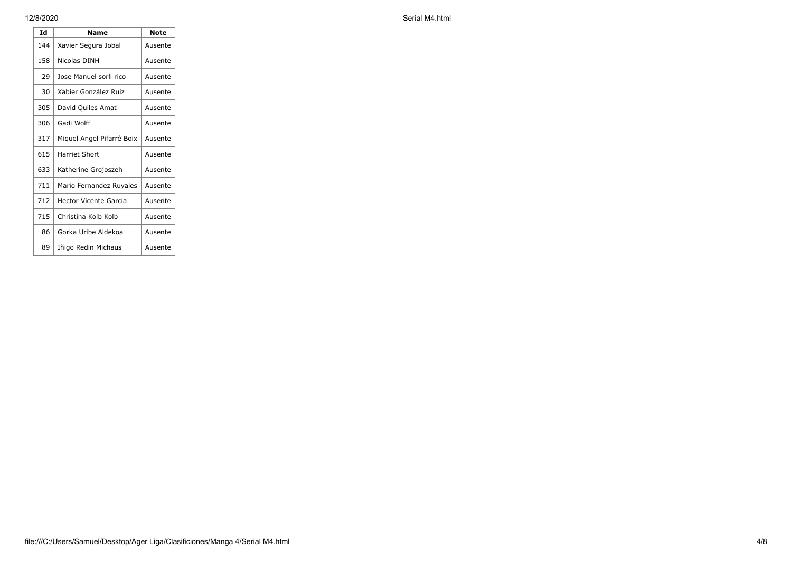**Id Name Note** 144 Xavier Segura Jobal | Ausente 158 Nicolas DINH | Ausente 29 Jose Manuel sorli rico | Ausente 30 Xabier González Ruiz | Ausente 305 David Quiles Amat | Ausente 306 Gadi Wolff Rusente 317 | Miquel Angel Pifarré Boix | Ausente 615 | Harriet Short | Ausente 633 | Katherine Grojoszeh | Ausente 711 | Mario Fernandez Ruyales | Ausente 712 Hector Vicente García | Ausente 715 Christina Kolb Kolb | Ausente 86 Gorka Uribe Aldekoa | Ausente 89 | Iñigo Redin Michaus | Ausente

12/8/2020 Serial M4.html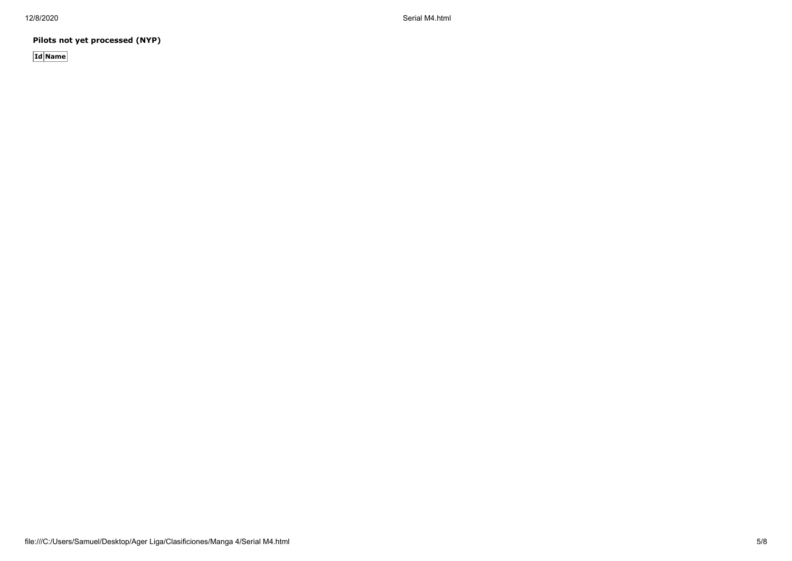12/8/2020 Serial M4.html

**Pilots not yet processed (NYP)**

**Id Name**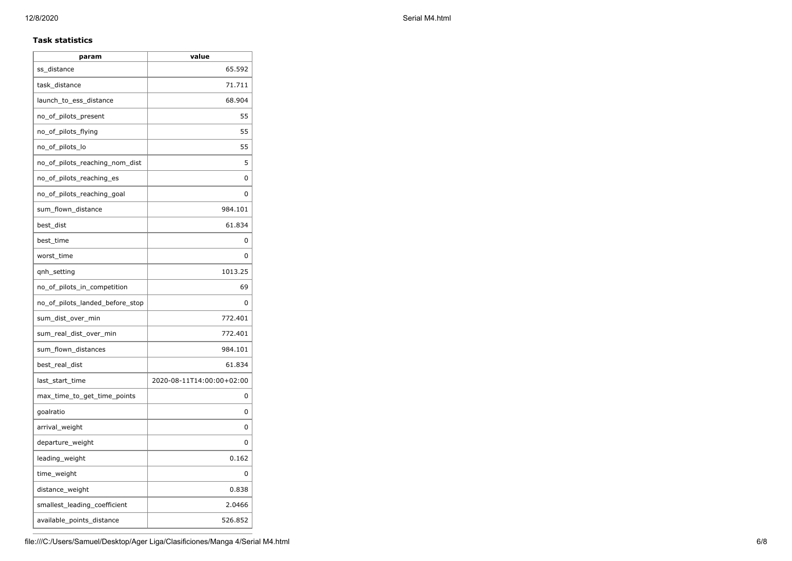### **Task statistics**

| 65.592<br>ss_distance<br>71.711<br>task_distance<br>68.904<br>launch_to_ess_distance<br>no_of_pilots_present<br>no_of_pilots_flying<br>no_of_pilots_lo<br>no_of_pilots_reaching_nom_dist<br>no_of_pilots_reaching_es<br>no_of_pilots_reaching_goal<br>sum_flown_distance<br>984.101 | 55<br>55<br>55<br>5<br>0<br>0 |
|-------------------------------------------------------------------------------------------------------------------------------------------------------------------------------------------------------------------------------------------------------------------------------------|-------------------------------|
|                                                                                                                                                                                                                                                                                     |                               |
|                                                                                                                                                                                                                                                                                     |                               |
|                                                                                                                                                                                                                                                                                     |                               |
|                                                                                                                                                                                                                                                                                     |                               |
|                                                                                                                                                                                                                                                                                     |                               |
|                                                                                                                                                                                                                                                                                     |                               |
|                                                                                                                                                                                                                                                                                     |                               |
|                                                                                                                                                                                                                                                                                     |                               |
|                                                                                                                                                                                                                                                                                     |                               |
|                                                                                                                                                                                                                                                                                     |                               |
| best_dist<br>61.834                                                                                                                                                                                                                                                                 |                               |
| best time                                                                                                                                                                                                                                                                           | 0                             |
| worst_time                                                                                                                                                                                                                                                                          | 0                             |
| 1013.25<br>qnh_setting                                                                                                                                                                                                                                                              |                               |
| no_of_pilots_in_competition                                                                                                                                                                                                                                                         | 69                            |
| no_of_pilots_landed_before_stop                                                                                                                                                                                                                                                     | 0                             |
| sum_dist_over_min<br>772.401                                                                                                                                                                                                                                                        |                               |
| 772.401<br>sum_real_dist_over_min                                                                                                                                                                                                                                                   |                               |
| sum_flown_distances<br>984.101                                                                                                                                                                                                                                                      |                               |
| 61.834<br>best_real_dist                                                                                                                                                                                                                                                            |                               |
| 2020-08-11T14:00:00+02:00<br>last_start_time                                                                                                                                                                                                                                        |                               |
| max_time_to_get_time_points                                                                                                                                                                                                                                                         | 0                             |
| goalratio                                                                                                                                                                                                                                                                           | 0                             |
| arrival_weight                                                                                                                                                                                                                                                                      | 0                             |
| departure_weight                                                                                                                                                                                                                                                                    | U                             |
| leading_weight                                                                                                                                                                                                                                                                      | 0.162                         |
| time_weight                                                                                                                                                                                                                                                                         | <sup>0</sup>                  |
| distance_weight                                                                                                                                                                                                                                                                     | 0.838                         |
| smallest_leading_coefficient<br>2.0466                                                                                                                                                                                                                                              |                               |
| 526.852<br>available_points_distance                                                                                                                                                                                                                                                |                               |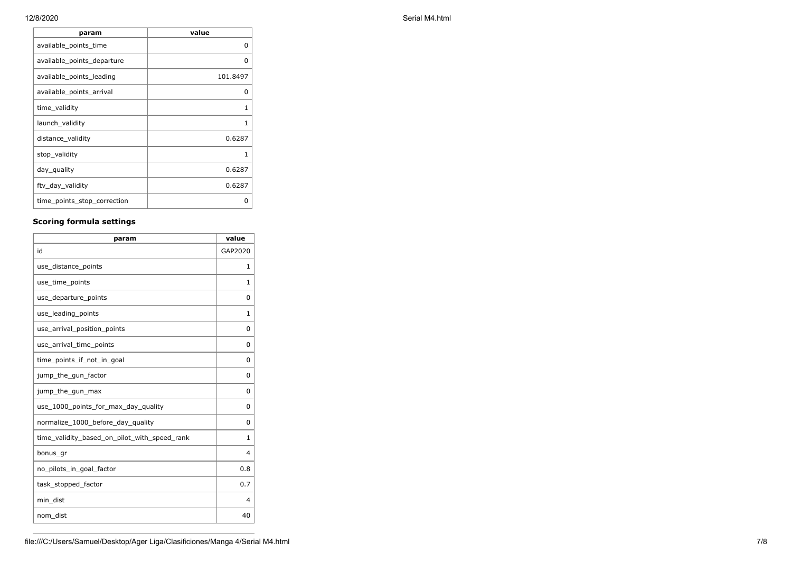**param value** available\_points\_time available of the contract of the contract of the contract of the contract of the contract o available\_points\_departure 0 available\_points\_leading and about 101.8497 available\_points\_arrival available of the control of the control of the control of the control of the control o time\_validity 1 launch\_validity 1 distance\_validity and a set of the contract of the contract of the contract of the contract of the contract of the contract of the contract of the contract of the contract of the contract of the contract of the contract of stop\_validity 1 day\_quality 0.6287 ftv\_day\_validity 0.6287 time\_points\_stop\_correction | 0

### **Scoring formula settings**

| param                                        | value    |
|----------------------------------------------|----------|
| id                                           | GAP2020  |
| use_distance_points                          | 1        |
| use_time_points                              | 1        |
| use_departure_points                         | 0        |
| use_leading_points                           | 1        |
| use_arrival_position_points                  | 0        |
| use_arrival_time_points                      | 0        |
| time points if not in goal                   | $\Omega$ |
| jump_the_gun_factor                          | 0        |
| jump_the_gun_max                             | 0        |
| use_1000_points_for_max_day_quality          | 0        |
| normalize_1000_before_day_quality            | 0        |
| time_validity_based_on_pilot_with_speed_rank | 1        |
| bonus_gr                                     | 4        |
| no_pilots_in_goal_factor                     | 0.8      |
| task_stopped_factor                          | 0.7      |
| min dist                                     | 4        |
| nom_dist                                     | 40       |